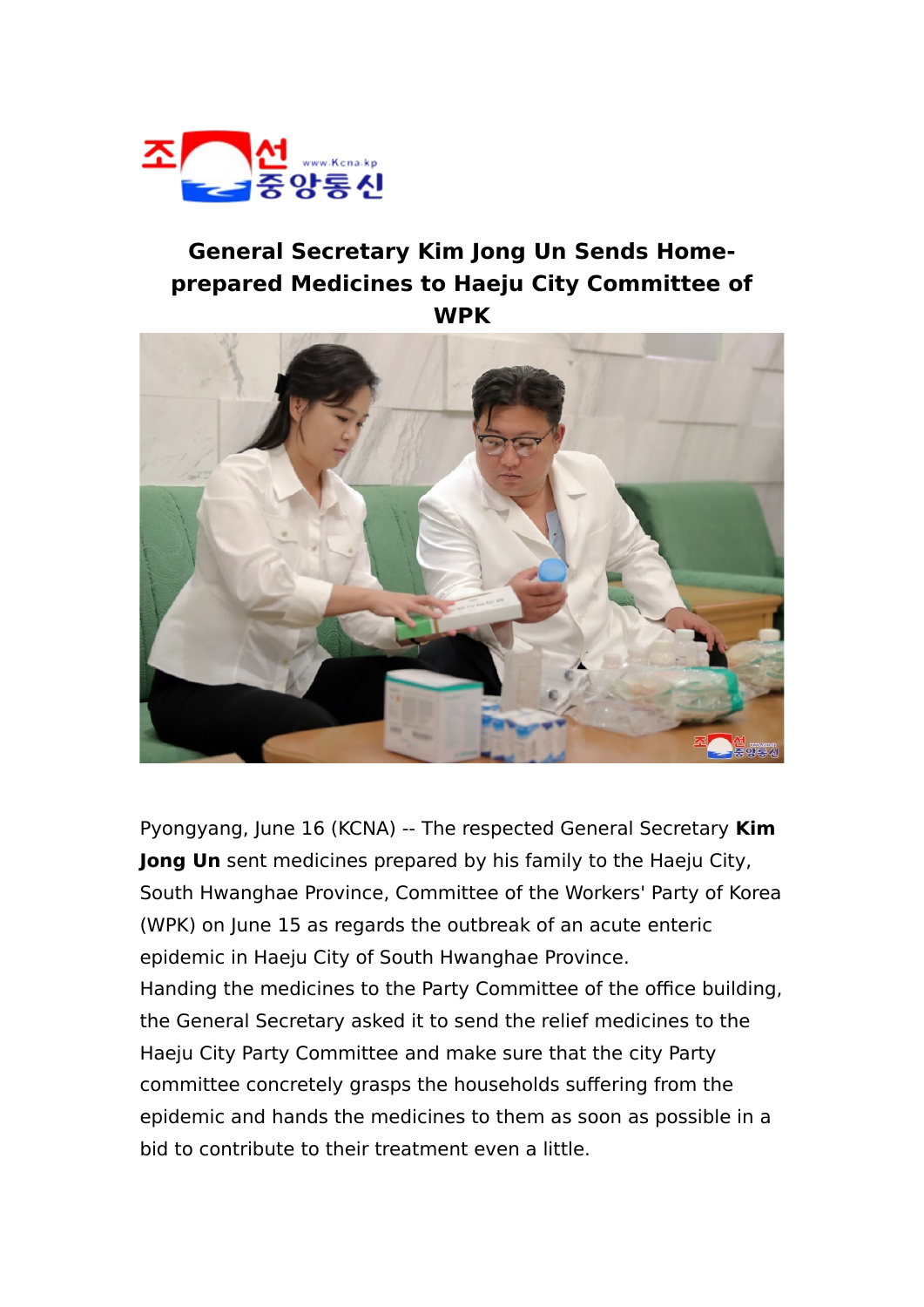

## **General Secretary Kim Jong Un Sends Homeprepared Medicines to Haeju City Committee of WPK**



Pyongyang, June 16 (KCNA) -- The respected General Secretary **Kim Jong Un** sent medicines prepared by his family to the Haeju City, South Hwanghae Province, Committee of the Workers' Party of Korea (WPK) on June 15 as regards the outbreak of an acute enteric epidemic in Haeju City of South Hwanghae Province. Handing the medicines to the Party Committee of the office building, the General Secretary asked it to send the relief medicines to the Haeju City Party Committee and make sure that the city Party committee concretely grasps the households suffering from the epidemic and hands the medicines to them as soon as possible in a bid to contribute to their treatment even a little.